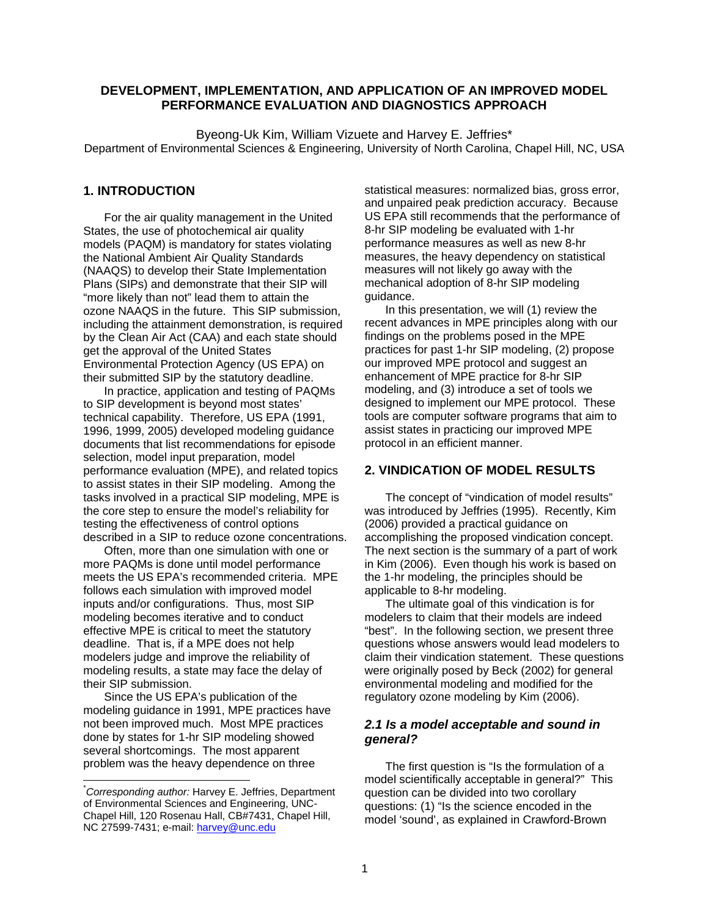### **DEVELOPMENT, IMPLEMENTATION, AND APPLICATION OF AN IMPROVED MODEL PERFORMANCE EVALUATION AND DIAGNOSTICS APPROACH**

Byeong-Uk Kim, William Vizuete and Harvey E. Jeffries\* Department of Environmental Sciences & Engineering, University of North Carolina, Chapel Hill, NC, USA

# **1. INTRODUCTION**

For the air quality management in the United States, the use of photochemical air quality models (PAQM) is mandatory for states violating the National Ambient Air Quality Standards (NAAQS) to develop their State Implementation Plans (SIPs) and demonstrate that their SIP will "more likely than not" lead them to attain the ozone NAAQS in the future. This SIP submission, including the attainment demonstration, is required by the Clean Air Act (CAA) and each state should get the approval of the United States Environmental Protection Agency (US EPA) on their submitted SIP by the statutory deadline.

In practice, application and testing of PAQMs to SIP development is beyond most states' technical capability. Therefore, US EPA (1991, 1996, 1999, 2005) developed modeling guidance documents that list recommendations for episode selection, model input preparation, model performance evaluation (MPE), and related topics to assist states in their SIP modeling. Among the tasks involved in a practical SIP modeling, MPE is the core step to ensure the model's reliability for testing the effectiveness of control options described in a SIP to reduce ozone concentrations.

Often, more than one simulation with one or more PAQMs is done until model performance meets the US EPA's recommended criteria. MPE follows each simulation with improved model inputs and/or configurations. Thus, most SIP modeling becomes iterative and to conduct effective MPE is critical to meet the statutory deadline. That is, if a MPE does not help modelers judge and improve the reliability of modeling results, a state may face the delay of their SIP submission.

Since the US EPA's publication of the modeling guidance in 1991, MPE practices have not been improved much. Most MPE practices done by states for 1-hr SIP modeling showed several shortcomings. The most apparent problem was the heavy dependence on three

l

statistical measures: normalized bias, gross error, and unpaired peak prediction accuracy. Because US EPA still recommends that the performance of 8-hr SIP modeling be evaluated with 1-hr performance measures as well as new 8-hr measures, the heavy dependency on statistical measures will not likely go away with the mechanical adoption of 8-hr SIP modeling guidance.

In this presentation, we will (1) review the recent advances in MPE principles along with our findings on the problems posed in the MPE practices for past 1-hr SIP modeling, (2) propose our improved MPE protocol and suggest an enhancement of MPE practice for 8-hr SIP modeling, and (3) introduce a set of tools we designed to implement our MPE protocol. These tools are computer software programs that aim to assist states in practicing our improved MPE protocol in an efficient manner.

#### **2. VINDICATION OF MODEL RESULTS**

The concept of "vindication of model results" was introduced by Jeffries (1995). Recently, Kim (2006) provided a practical guidance on accomplishing the proposed vindication concept. The next section is the summary of a part of work in Kim (2006). Even though his work is based on the 1-hr modeling, the principles should be applicable to 8-hr modeling.

The ultimate goal of this vindication is for modelers to claim that their models are indeed "best". In the following section, we present three questions whose answers would lead modelers to claim their vindication statement. These questions were originally posed by Beck (2002) for general environmental modeling and modified for the regulatory ozone modeling by Kim (2006).

#### *2.1 Is a model acceptable and sound in general?*

The first question is "Is the formulation of a model scientifically acceptable in general?" This question can be divided into two corollary questions: (1) "Is the science encoded in the model 'sound', as explained in Crawford-Brown

<sup>\*</sup> *Corresponding author:* Harvey E. Jeffries, Department of Environmental Sciences and Engineering, UNC-Chapel Hill, 120 Rosenau Hall, CB#7431, Chapel Hill, NC 27599-7431; e-mail: harvey@unc.edu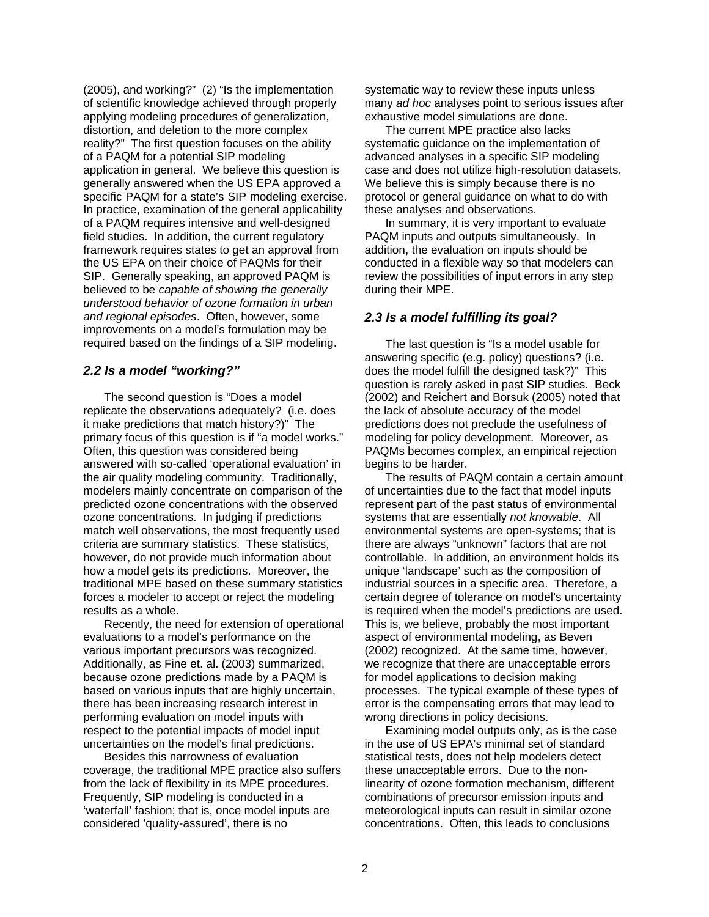(2005), and working?" (2) "Is the implementation of scientific knowledge achieved through properly applying modeling procedures of generalization, distortion, and deletion to the more complex reality?" The first question focuses on the ability of a PAQM for a potential SIP modeling application in general. We believe this question is generally answered when the US EPA approved a specific PAQM for a state's SIP modeling exercise. In practice, examination of the general applicability of a PAQM requires intensive and well-designed field studies. In addition, the current regulatory framework requires states to get an approval from the US EPA on their choice of PAQMs for their SIP. Generally speaking, an approved PAQM is believed to be *capable of showing the generally understood behavior of ozone formation in urban and regional episodes*. Often, however, some improvements on a model's formulation may be required based on the findings of a SIP modeling.

### *2.2 Is a model "working?"*

The second question is "Does a model replicate the observations adequately? (i.e. does it make predictions that match history?)" The primary focus of this question is if "a model works." Often, this question was considered being answered with so-called 'operational evaluation' in the air quality modeling community. Traditionally, modelers mainly concentrate on comparison of the predicted ozone concentrations with the observed ozone concentrations. In judging if predictions match well observations, the most frequently used criteria are summary statistics. These statistics, however, do not provide much information about how a model gets its predictions. Moreover, the traditional MPE based on these summary statistics forces a modeler to accept or reject the modeling results as a whole.

Recently, the need for extension of operational evaluations to a model's performance on the various important precursors was recognized. Additionally, as Fine et. al. (2003) summarized, because ozone predictions made by a PAQM is based on various inputs that are highly uncertain, there has been increasing research interest in performing evaluation on model inputs with respect to the potential impacts of model input uncertainties on the model's final predictions.

Besides this narrowness of evaluation coverage, the traditional MPE practice also suffers from the lack of flexibility in its MPE procedures. Frequently, SIP modeling is conducted in a 'waterfall' fashion; that is, once model inputs are considered 'quality-assured', there is no

systematic way to review these inputs unless many *ad hoc* analyses point to serious issues after exhaustive model simulations are done.

The current MPE practice also lacks systematic guidance on the implementation of advanced analyses in a specific SIP modeling case and does not utilize high-resolution datasets. We believe this is simply because there is no protocol or general guidance on what to do with these analyses and observations.

In summary, it is very important to evaluate PAQM inputs and outputs simultaneously. In addition, the evaluation on inputs should be conducted in a flexible way so that modelers can review the possibilities of input errors in any step during their MPE.

### *2.3 Is a model fulfilling its goal?*

The last question is "Is a model usable for answering specific (e.g. policy) questions? (i.e. does the model fulfill the designed task?)" This question is rarely asked in past SIP studies. Beck (2002) and Reichert and Borsuk (2005) noted that the lack of absolute accuracy of the model predictions does not preclude the usefulness of modeling for policy development. Moreover, as PAQMs becomes complex, an empirical rejection begins to be harder.

The results of PAQM contain a certain amount of uncertainties due to the fact that model inputs represent part of the past status of environmental systems that are essentially *not knowable*. All environmental systems are open-systems; that is there are always "unknown" factors that are not controllable. In addition, an environment holds its unique 'landscape' such as the composition of industrial sources in a specific area. Therefore, a certain degree of tolerance on model's uncertainty is required when the model's predictions are used. This is, we believe, probably the most important aspect of environmental modeling, as Beven (2002) recognized. At the same time, however, we recognize that there are unacceptable errors for model applications to decision making processes. The typical example of these types of error is the compensating errors that may lead to wrong directions in policy decisions.

Examining model outputs only, as is the case in the use of US EPA's minimal set of standard statistical tests, does not help modelers detect these unacceptable errors. Due to the nonlinearity of ozone formation mechanism, different combinations of precursor emission inputs and meteorological inputs can result in similar ozone concentrations. Often, this leads to conclusions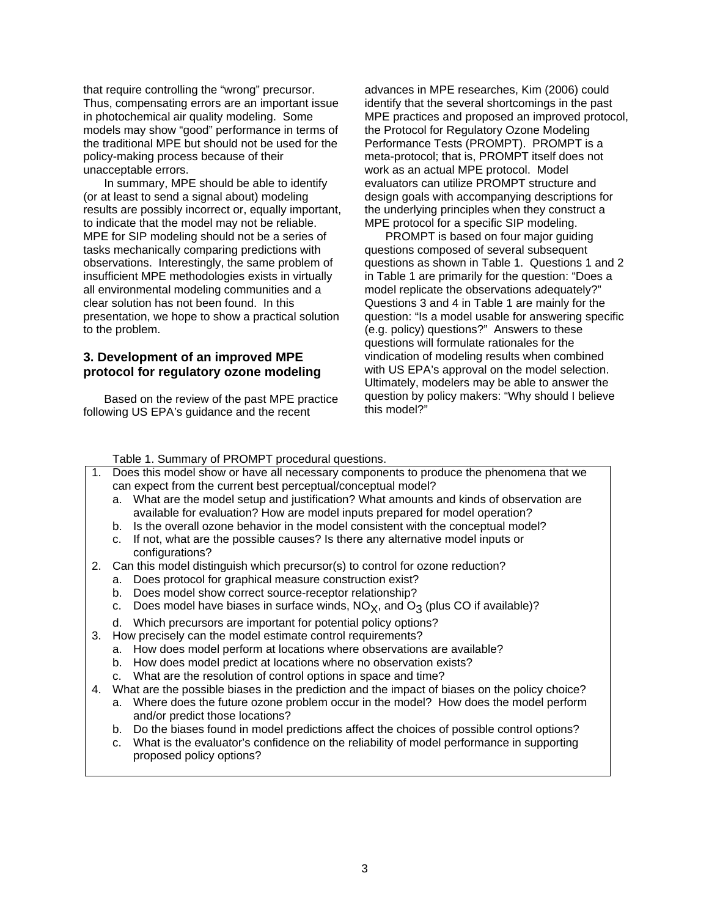that require controlling the "wrong" precursor. Thus, compensating errors are an important issue in photochemical air quality modeling. Some models may show "good" performance in terms of the traditional MPE but should not be used for the policy-making process because of their unacceptable errors.

In summary, MPE should be able to identify (or at least to send a signal about) modeling results are possibly incorrect or, equally important, to indicate that the model may not be reliable. MPE for SIP modeling should not be a series of tasks mechanically comparing predictions with observations. Interestingly, the same problem of insufficient MPE methodologies exists in virtually all environmental modeling communities and a clear solution has not been found. In this presentation, we hope to show a practical solution to the problem.

## **3. Development of an improved MPE protocol for regulatory ozone modeling**

Based on the review of the past MPE practice following US EPA's guidance and the recent

advances in MPE researches, Kim (2006) could identify that the several shortcomings in the past MPE practices and proposed an improved protocol, the Protocol for Regulatory Ozone Modeling Performance Tests (PROMPT). PROMPT is a meta-protocol; that is, PROMPT itself does not work as an actual MPE protocol. Model evaluators can utilize PROMPT structure and design goals with accompanying descriptions for the underlying principles when they construct a MPE protocol for a specific SIP modeling.

PROMPT is based on four major guiding questions composed of several subsequent questions as shown in Table 1. Questions 1 and 2 in Table 1 are primarily for the question: "Does a model replicate the observations adequately?" Questions 3 and 4 in Table 1 are mainly for the question: "Is a model usable for answering specific (e.g. policy) questions?" Answers to these questions will formulate rationales for the vindication of modeling results when combined with US EPA's approval on the model selection. Ultimately, modelers may be able to answer the question by policy makers: "Why should I believe this model?"

#### Table 1. Summary of PROMPT procedural questions.

- 1. Does this model show or have all necessary components to produce the phenomena that we can expect from the current best perceptual/conceptual model?
	- a. What are the model setup and justification? What amounts and kinds of observation are available for evaluation? How are model inputs prepared for model operation?
	- b. Is the overall ozone behavior in the model consistent with the conceptual model?
	- c. If not, what are the possible causes? Is there any alternative model inputs or configurations?
- 2. Can this model distinguish which precursor(s) to control for ozone reduction?
	- a. Does protocol for graphical measure construction exist?
	- b. Does model show correct source-receptor relationship?
	- c. Does model have biases in surface winds,  $NO<sub>X</sub>$ , and  $O<sub>3</sub>$  (plus CO if available)?
	- d. Which precursors are important for potential policy options?
- 3. How precisely can the model estimate control requirements?
	- a. How does model perform at locations where observations are available?
	- b. How does model predict at locations where no observation exists?
	- c. What are the resolution of control options in space and time?
- 4. What are the possible biases in the prediction and the impact of biases on the policy choice?
	- a. Where does the future ozone problem occur in the model? How does the model perform and/or predict those locations?
	- b. Do the biases found in model predictions affect the choices of possible control options?
	- c. What is the evaluator's confidence on the reliability of model performance in supporting proposed policy options?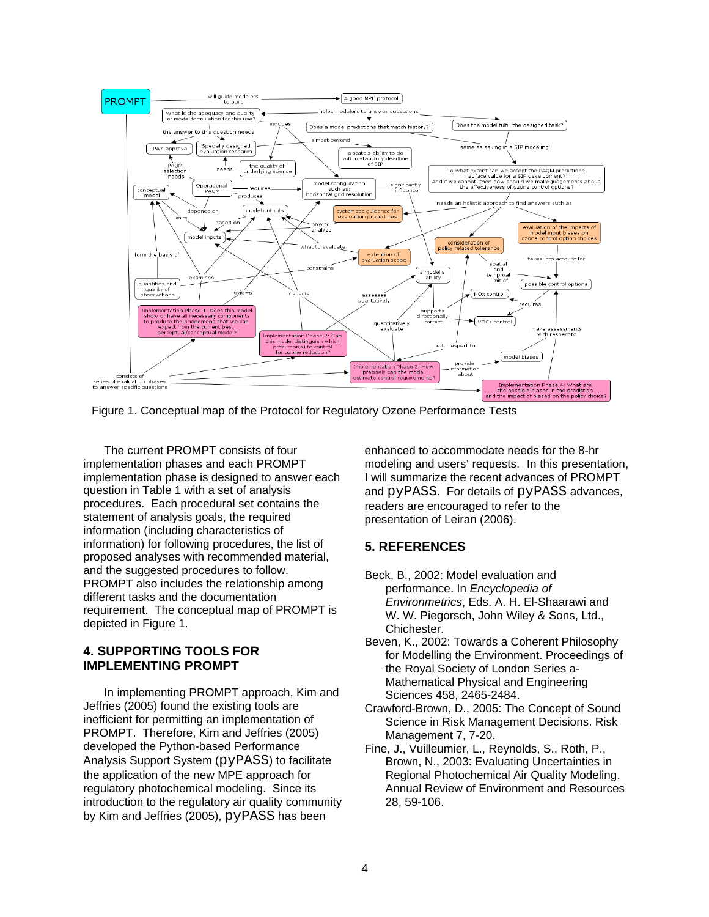

The current PROMPT consists of four implementation phases and each PROMPT implementation phase is designed to answer each question in Table 1 with a set of analysis procedures. Each procedural set contains the statement of analysis goals, the required information (including characteristics of information) for following procedures, the list of proposed analyses with recommended material, and the suggested procedures to follow. PROMPT also includes the relationship among different tasks and the documentation requirement. The conceptual map of PROMPT is depicted in Figure 1.

# **4. SUPPORTING TOOLS FOR IMPLEMENTING PROMPT**

In implementing PROMPT approach, Kim and Jeffries (2005) found the existing tools are inefficient for permitting an implementation of PROMPT. Therefore, Kim and Jeffries (2005) developed the Python-based Performance Analysis Support System (pyPASS) to facilitate the application of the new MPE approach for regulatory photochemical modeling. Since its introduction to the regulatory air quality community by Kim and Jeffries (2005), pyPASS has been

enhanced to accommodate needs for the 8-hr modeling and users' requests. In this presentation, I will summarize the recent advances of PROMPT and pyPASS. For details of pyPASS advances, readers are encouraged to refer to the presentation of Leiran (2006).

# **5. REFERENCES**

- Beck, B., 2002: Model evaluation and performance. In *Encyclopedia of Environmetrics*, Eds. A. H. El-Shaarawi and W. W. Piegorsch, John Wiley & Sons, Ltd., Chichester.
- Beven, K., 2002: Towards a Coherent Philosophy for Modelling the Environment. Proceedings of the Royal Society of London Series a-Mathematical Physical and Engineering Sciences 458, 2465-2484.
- Crawford-Brown, D., 2005: The Concept of Sound Science in Risk Management Decisions. Risk Management 7, 7-20.
- Fine, J., Vuilleumier, L., Reynolds, S., Roth, P., Brown, N., 2003: Evaluating Uncertainties in Regional Photochemical Air Quality Modeling. Annual Review of Environment and Resources 28, 59-106.